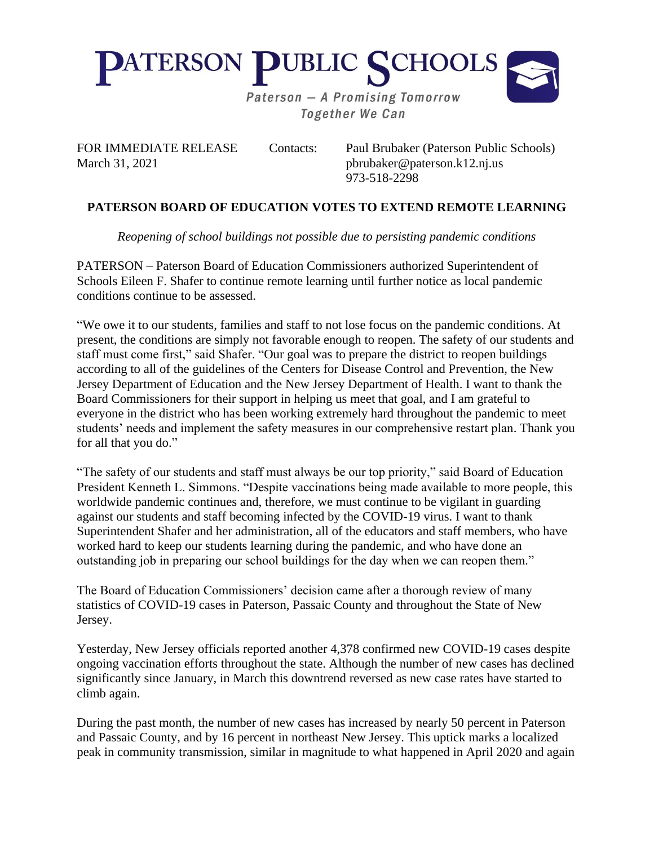

**Together We Can** 

March 31, 2021 **phrubaker@paterson.k12.nj.us** 

FOR IMMEDIATE RELEASE Contacts: Paul Brubaker (Paterson Public Schools) 973-518-2298

## **PATERSON BOARD OF EDUCATION VOTES TO EXTEND REMOTE LEARNING**

*Reopening of school buildings not possible due to persisting pandemic conditions*

PATERSON – Paterson Board of Education Commissioners authorized Superintendent of Schools Eileen F. Shafer to continue remote learning until further notice as local pandemic conditions continue to be assessed.

"We owe it to our students, families and staff to not lose focus on the pandemic conditions. At present, the conditions are simply not favorable enough to reopen. The safety of our students and staff must come first," said Shafer. "Our goal was to prepare the district to reopen buildings according to all of the guidelines of the Centers for Disease Control and Prevention, the New Jersey Department of Education and the New Jersey Department of Health. I want to thank the Board Commissioners for their support in helping us meet that goal, and I am grateful to everyone in the district who has been working extremely hard throughout the pandemic to meet students' needs and implement the safety measures in our comprehensive restart plan. Thank you for all that you do."

"The safety of our students and staff must always be our top priority," said Board of Education President Kenneth L. Simmons. "Despite vaccinations being made available to more people, this worldwide pandemic continues and, therefore, we must continue to be vigilant in guarding against our students and staff becoming infected by the COVID-19 virus. I want to thank Superintendent Shafer and her administration, all of the educators and staff members, who have worked hard to keep our students learning during the pandemic, and who have done an outstanding job in preparing our school buildings for the day when we can reopen them."

The Board of Education Commissioners' decision came after a thorough review of many statistics of COVID-19 cases in Paterson, Passaic County and throughout the State of New Jersey.

Yesterday, New Jersey officials reported another 4,378 confirmed new COVID-19 cases despite ongoing vaccination efforts throughout the state. Although the number of new cases has declined significantly since January, in March this downtrend reversed as new case rates have started to climb again.

During the past month, the number of new cases has increased by nearly 50 percent in Paterson and Passaic County, and by 16 percent in northeast New Jersey. This uptick marks a localized peak in community transmission, similar in magnitude to what happened in April 2020 and again